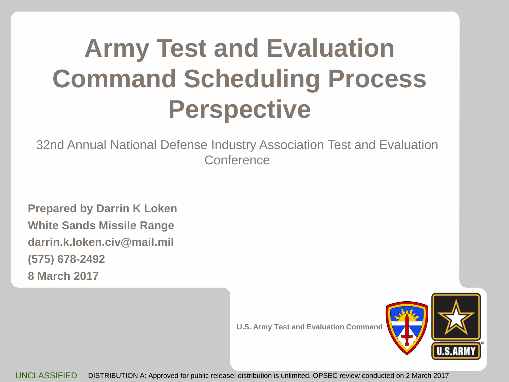### **Army Test and Evaluation Command Scheduling Process Perspective**

32nd Annual National Defense Industry Association Test and Evaluation **Conference** 

**Prepared by Darrin K Loken White Sands Missile Range darrin.k.loken.civ@mail.mil (575) 678-2492 8 March 2017**

**U.S. Army Test and Evaluation Command**



UNCLASSIFIED DISTRIBUTION A: Approved for public release; distribution is unlimited. OPSEC review conducted on 2 March 2017.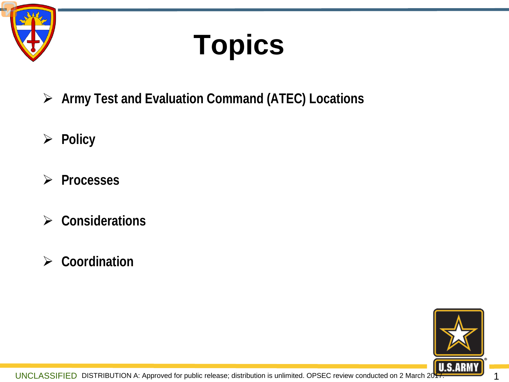

## **Topics**

- **Army Test and Evaluation Command (ATEC) Locations**
- **Policy**
- **Processes**
- **Considerations**
- **Coordination**

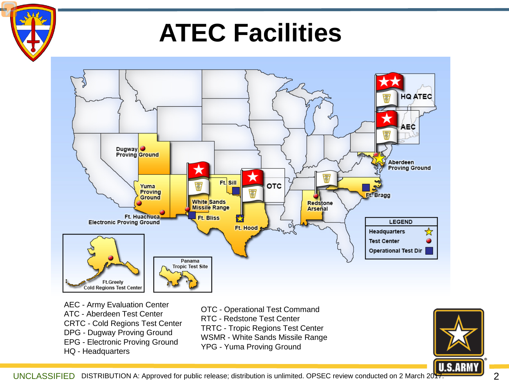

### **ATEC Facilities**



AEC - Army Evaluation Center ATC - Aberdeen Test Center CRTC - Cold Regions Test Center DPG - Dugway Proving Ground EPG - Electronic Proving Ground HQ - Headquarters

OTC - Operational Test Command RTC - Redstone Test Center TRTC - Tropic Regions Test Center WSMR - White Sands Missile Range YPG - Yuma Proving Ground



UNCLASSIFIED DISTRIBUTION A: Approved for public release; distribution is unlimited. OPSEC review conducted on 2 March 2017.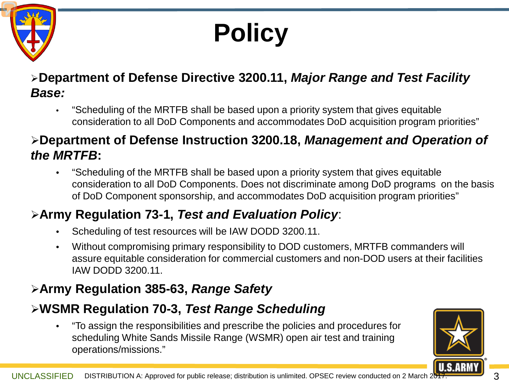

### **Policy**

#### **Department of Defense Directive 3200.11,** *Major Range and Test Facility Base:*

• "Scheduling of the MRTFB shall be based upon a priority system that gives equitable consideration to all DoD Components and accommodates DoD acquisition program priorities"

#### **Department of Defense Instruction 3200.18,** *Management and Operation of the MRTFB***:**

• "Scheduling of the MRTFB shall be based upon a priority system that gives equitable consideration to all DoD Components. Does not discriminate among DoD programs on the basis of DoD Component sponsorship, and accommodates DoD acquisition program priorities"

#### **Army Regulation 73-1,** *Test and Evaluation Policy*:

- Scheduling of test resources will be IAW DODD 3200.11.
- Without compromising primary responsibility to DOD customers, MRTFB commanders will assure equitable consideration for commercial customers and non-DOD users at their facilities IAW DODD 3200.11.

#### **Army Regulation 385-63,** *Range Safety*

#### **WSMR Regulation 70-3,** *Test Range Scheduling*

• "To assign the responsibilities and prescribe the policies and procedures for scheduling White Sands Missile Range (WSMR) open air test and training operations/missions."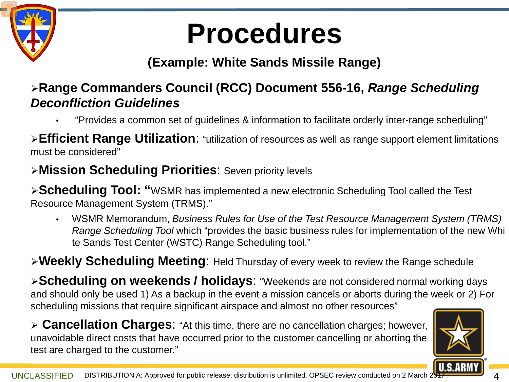

### **Procedures**

#### **(Example: White Sands Missile Range)**

#### **Range Commanders Council (RCC) Document 556-16,** *Range Scheduling Deconfliction Guidelines*

• "Provides a common set of guidelines & information to facilitate orderly inter-range scheduling"

**Efficient Range Utilization**: "utilization of resources as well as range support element limitations must be considered"

#### **Mission Scheduling Priorities**: Seven priority levels

**Scheduling Tool: "**WSMR has implemented a new electronic Scheduling Tool called the Test Resource Management System (TRMS)."

• WSMR Memorandum, *Business Rules for Use of the Test Resource Management System (TRMS) Range Scheduling Tool* which "provides the basic business rules for implementation of the new Whi te Sands Test Center (WSTC) Range Scheduling tool."

**Weekly Scheduling Meeting**: Held Thursday of every week to review the Range schedule

**Scheduling on weekends / holidays**: "Weekends are not considered normal working days and should only be used 1) As a backup in the event a mission cancels or aborts during the week or 2) For scheduling missions that require significant airspace and almost no other resources"

 **Cancellation Charges**: "At this time, there are no cancellation charges; however, unavoidable direct costs that have occurred prior to the customer cancelling or aborting the test are charged to the customer."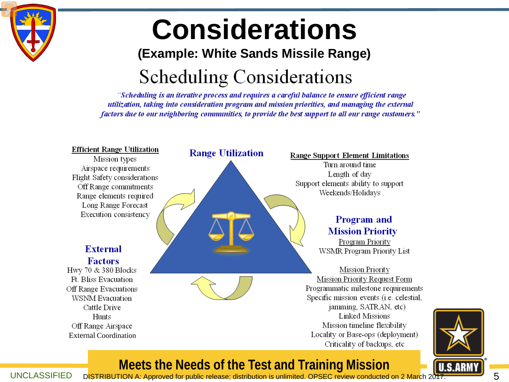

### **Considerations**

#### **(Example: White Sands Missile Range)**

### **Scheduling Considerations**

"Scheduling is an iterative process and requires a careful balance to ensure efficient range utilization, taking into consideration program and mission priorities, and managing the external factors due to our neighboring communities, to provide the best support to all our range customers."





#### **Meets the Needs of the Test and Training Mission**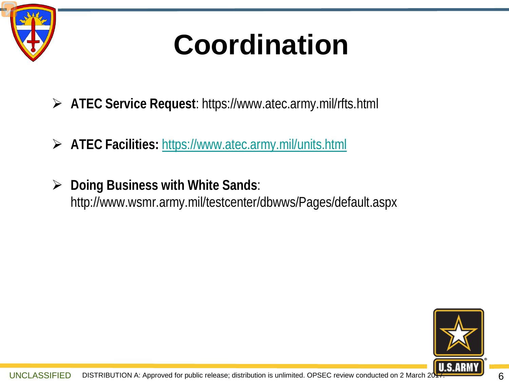

### **Coordination**

- **ATEC Service Request**: https://www.atec.army.mil/rfts.html
- **ATEC Facilities:** <https://www.atec.army.mil/units.html>
- **Doing Business with White Sands**: http://www.wsmr.army.mil/testcenter/dbwws/Pages/default.aspx